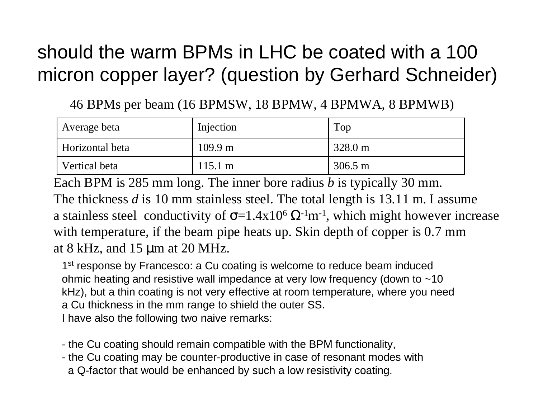### should the warm BPMs in LHC be coated with a 100 micron copper layer? (question by Gerhard Schneider)

46 BPMs per beam (16 BPMSW, 18 BPMW, 4 BPMWA, 8 BPMWB)

| Average beta    | Injection         | Top               |
|-----------------|-------------------|-------------------|
| Horizontal beta | $109.9 \text{ m}$ | $328.0 \text{ m}$ |
| Vertical beta   | $115.1 \text{ m}$ | $306.5 \text{ m}$ |

Each BPM is 285 mm long. The inner bore radius *b* is typically 30 mm. The thickness *d* is 10 mm stainless steel. The total length is 13.11 m. I assume a stainless steel conductivity of  $\sigma$ =1.4x10<sup>6</sup>  $\Omega$ <sup>-1</sup>m<sup>-1</sup>, which might however increase with temperature, if the beam pipe heats up. Skin depth of copper is 0.7 mm at 8 kHz, and 15 µm at 20 MHz.

1<sup>st</sup> response by Francesco: a Cu coating is welcome to reduce beam induced ohmic heating and resistive wall impedance at very low frequency (down to ~10 kHz), but a thin coating is not very effective at room temperature, where you need a Cu thickness in the mm range to shield the outer SS. I have also the following two naive remarks:

- the Cu coating should remain compatible with the BPM functionality,
- the Cu coating may be counter-productive in case of resonant modes with a Q-factor that would be enhanced by such a low resistivity coating.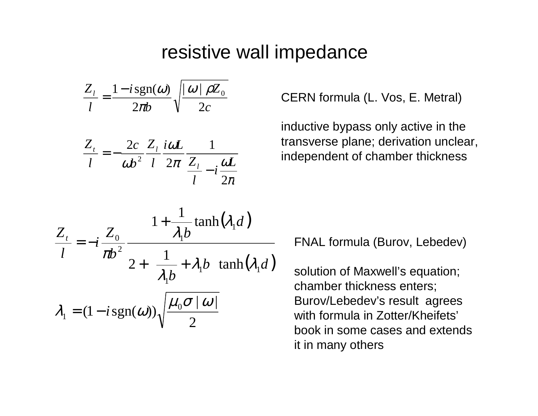### resistive wall impedance

$$
\frac{Z_{l}}{l} = \frac{1 - i \operatorname{sgn}(\omega)}{2\pi b} \sqrt{\frac{|\omega| \rho Z_{0}}{2c}}
$$

$$
\frac{Z_t}{l} = -\frac{2c}{\omega b^2} \frac{Z_l}{l} \frac{i\omega L}{2\pi} \frac{1}{\frac{Z_l}{l} - i \frac{\omega L}{2\pi}}
$$

CERN formula (L. Vos, E. Metral)

inductive bypass only active in the transverse plane; derivation unclear, independent of chamber thickness

$$
\frac{Z_t}{l} = -i \frac{Z_0}{\pi b^2} \frac{1 + \frac{1}{\lambda_1 b} \tanh(\lambda_1 d)}{2 + \left(\frac{1}{\lambda_1 b} + \lambda_1 b\right) \tanh(\lambda_1 d)}
$$

$$
\lambda_1 = (1 - i \operatorname{sgn}(\omega)) \sqrt{\frac{\mu_0 \sigma | \omega|}{2}}
$$

FNAL formula (Burov, Lebedev)

solution of Maxwell's equation; chamber thickness enters; Burov/Lebedev's result agrees with formula in Zotter/Kheifets' book in some cases and extends it in many others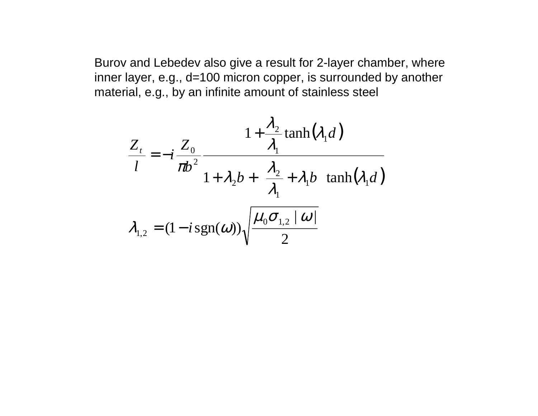Burov and Lebedev also give a result for 2-layer chamber, where inner layer, e.g., d=100 micron copper, is surrounded by another material, e.g., by an infinite amount of stainless steel

$$
\frac{Z_t}{l} = -i \frac{Z_0}{\pi b^2} \frac{1 + \frac{\lambda_2}{\lambda_1} \tanh(\lambda_1 d)}{1 + \lambda_2 b + \left(\frac{\lambda_2}{\lambda_1} + \lambda_1 b\right) \tanh(\lambda_1 d)}
$$

$$
\lambda_{1,2} = (1 - i \operatorname{sgn}(\omega)) \sqrt{\frac{\mu_0 \sigma_{1,2} | \omega|}{2}}
$$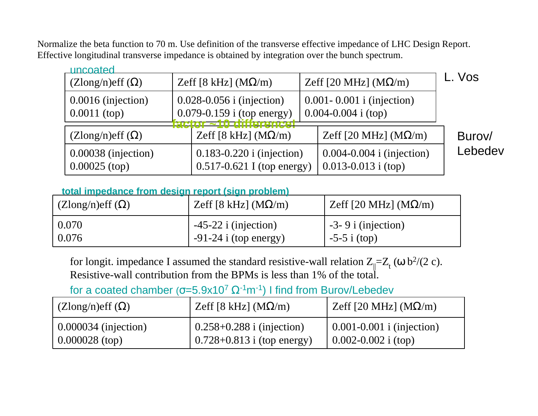Normalize the beta function to 70 m. Use definition of the transverse effective impedance of LHC Design Report. Effective longitudinal transverse impedance is obtained by integration over the bunch spectrum.

| uncoated                                                                                                                      |                                                                 |                                                          |         |
|-------------------------------------------------------------------------------------------------------------------------------|-----------------------------------------------------------------|----------------------------------------------------------|---------|
| $(Zlong/n)$ eff $(\Omega)$                                                                                                    | Zeff [8 kHz] $(M\Omega/m)$                                      | Zeff [20 MHz] (M $\Omega$ /m)                            | L. Vos  |
| $0.0016$ (injection)<br>$0.028 - 0.056$ i (injection)<br>$0.079 - 0.159$ i (top energy)<br>$0.0011$ (top)<br>r 210 dittaranca |                                                                 | $0.001 - 0.001$ i (injection)<br>$0.004 - 0.004$ i (top) |         |
| $(Z\text{long/n})\text{eff}(\Omega)$                                                                                          | Zeff [8 kHz] $(M\Omega/m)$                                      | Zeff [20 MHz] $(M\Omega/m)$                              | Burov/  |
| $0.00038$ (injection)<br>$0.00025$ (top)                                                                                      | $0.183 - 0.220$ i (injection)<br>$0.517 - 0.621$ I (top energy) | $0.004 - 0.004$ i (injection)<br>$0.013 - 0.013$ i (top) | Lebedev |

#### **total impedance from design report (sign problem)**

| $\mid$ (Zlong/n)eff ( $\Omega$ ) | Zeff [8 kHz] (MΩ/m)     | Zeff [20 MHz] $(M\Omega/m)$ |
|----------------------------------|-------------------------|-----------------------------|
| $\mid 0.070 \mid$                | $-45-22$ i (injection)  | $\sim$ -3-9 i (injection)   |
| $\mid 0.076$                     | $-91-24$ i (top energy) | $\frac{1}{2}$ -5-5 i (top)  |

for longit. impedance I assumed the standard resistive-wall relation  $Z_{\parallel}$ = $Z_{\rm t}$  (ω b $^{2}/(2\;{\rm c})$ . Resistive-wall contribution from the BPMs is less than 1% of the total.

for a coated chamber (σ=5.9x10<sup>7</sup> Ω<sup>-1</sup>m<sup>-1</sup>) I find from Burov/Lebedev

| $(Z\text{long/n})\text{eff}(\Omega)$ | Zeff [8 kHz] (MΩ/m)            | Zeff [20 MHz] $(M\Omega/m)$                   |
|--------------------------------------|--------------------------------|-----------------------------------------------|
| $\mid 0.000034$ (injection)          | $(0.258+0.288 i (injection))$  | $\vert 0.001 - 0.001 \iota (injection) \vert$ |
| $0.000028$ (top)                     | $0.728 + 0.813$ i (top energy) | $0.002 - 0.002$ i (top)                       |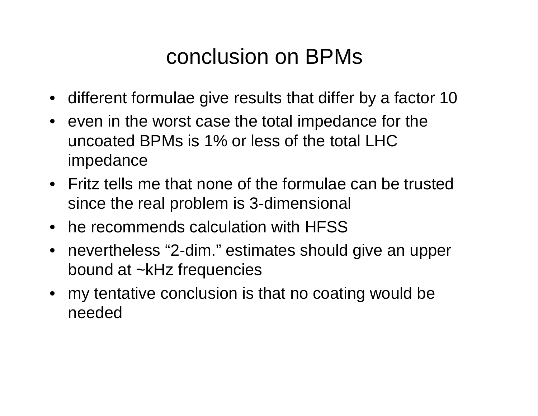## conclusion on BPMs

- different formulae give results that differ by a factor 10
- even in the worst case the total impedance for the uncoated BPMs is 1% or less of the total LHC impedance
- Fritz tells me that none of the formulae can be trusted since the real problem is 3-dimensional
- he recommends calculation with HFSS
- nevertheless "2-dim." estimates should give an upper bound at ~kHz frequencies
- my tentative conclusion is that no coating would be needed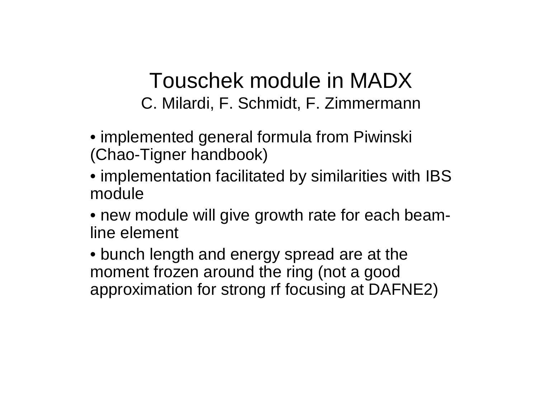### Touschek module in MADX C. Milardi, F. Schmidt, F. Zimmermann

- implemented general formula from Piwinski (Chao-Tigner handbook)
- implementation facilitated by similarities with IBS module
- new module will give growth rate for each beamline element
- bunch length and energy spread are at the moment frozen around the ring (not a good approximation for strong rf focusing at DAFNE2)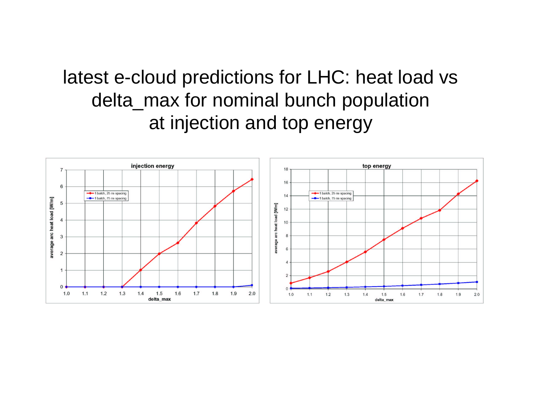### latest e-cloud predictions for LHC: heat load vs delta\_max for nominal bunch population at injection and top energy

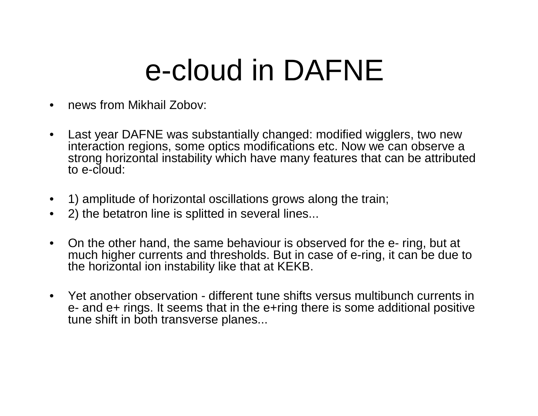# e-cloud in DAFNE

- news from Mikhail Zobov:
- • Last year DAFNE was substantially changed: modified wigglers, two new interaction regions, some optics modifications etc. Now we can observe a strong horizontal instability which have many features that can be attributed to e-cloud:
- 1) amplitude of horizontal oscillations grows along the train;
- 2) the betatron line is splitted in several lines...
- • On the other hand, the same behaviour is observed for the e- ring, but at much higher currents and thresholds. But in case of e-ring, it can be due to the horizontal ion instability like that at KEKB.
- Yet another observation different tune shifts versus multibunch currents in e- and e+ rings. It seems that in the e+ring there is some additional positive tune shift in both transverse planes...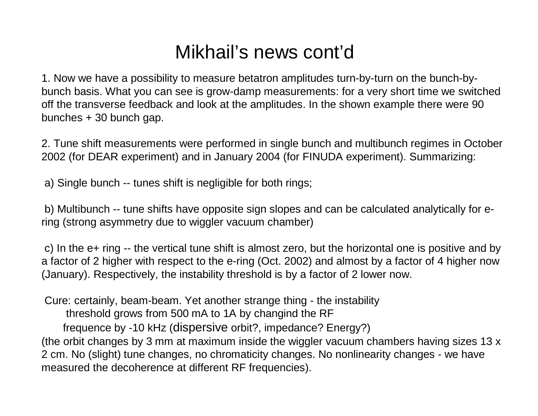### Mikhail's news cont'd

1. Now we have a possibility to measure betatron amplitudes turn-by-turn on the bunch-bybunch basis. What you can see is grow-damp measurements: for a very short time we switched off the transverse feedback and look at the amplitudes. In the shown example there were 90 bunches + 30 bunch gap.

2. Tune shift measurements were performed in single bunch and multibunch regimes in October 2002 (for DEAR experiment) and in January 2004 (for FINUDA experiment). Summarizing:

a) Single bunch -- tunes shift is negligible for both rings;

b) Multibunch -- tune shifts have opposite sign slopes and can be calculated analytically for ering (strong asymmetry due to wiggler vacuum chamber)

c) In the e+ ring -- the vertical tune shift is almost zero, but the horizontal one is positive and by a factor of 2 higher with respect to the e-ring (Oct. 2002) and almost by a factor of 4 higher now (January). Respectively, the instability threshold is by a factor of 2 lower now.

Cure: certainly, beam-beam. Yet another strange thing - the instability threshold grows from 500 mA to 1A by changind the RF frequence by -10 kHz (dispersive orbit?, impedance? Energy?) (the orbit changes by 3 mm at maximum inside the wiggler vacuum chambers having sizes 13 x 2 cm. No (slight) tune changes, no chromaticity changes. No nonlinearity changes - we have measured the decoherence at different RF frequencies).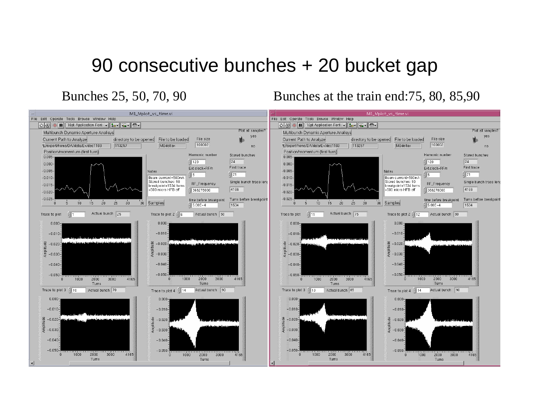### 90 consecutive bunches + 20 bucket gap

Bunches 25, 50, 70, 90 Bunches at the train end:75, 80, 85,90

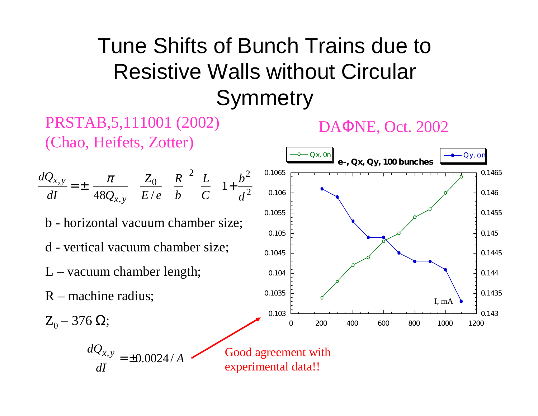# Tune Shifts of Bunch Trains due to Resistive Walls without Circular **Symmetry**